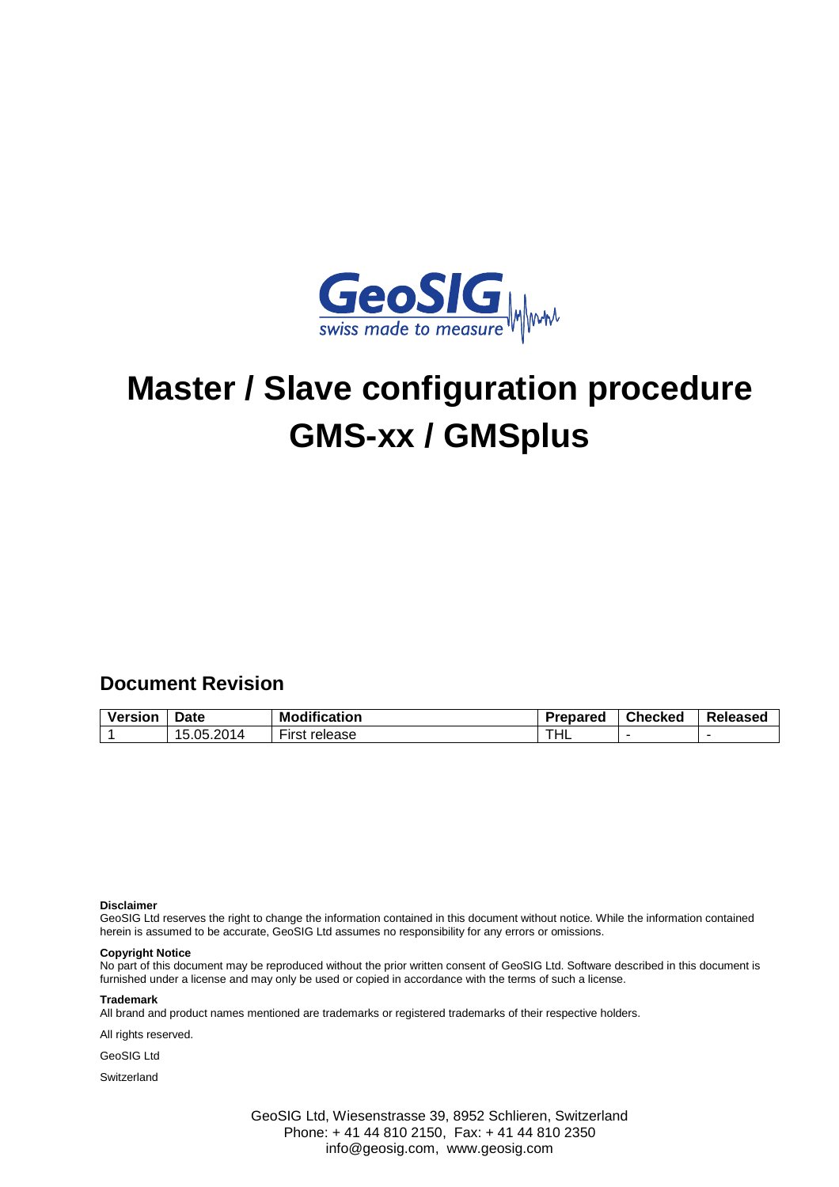

# **Master / Slave configuration procedure GMS-xx / GMSplus**

## **Document Revision**

| Version | Date         | <b>Modification</b>           | Prepared | <b>Checked</b> | Released |
|---------|--------------|-------------------------------|----------|----------------|----------|
|         | 4105.201⊾، ، | $- \cdot$<br>First<br>release | THL      |                |          |

#### **Disclaimer**

GeoSIG Ltd reserves the right to change the information contained in this document without notice. While the information contained herein is assumed to be accurate, GeoSIG Ltd assumes no responsibility for any errors or omissions.

#### **Copyright Notice**

No part of this document may be reproduced without the prior written consent of GeoSIG Ltd. Software described in this document is furnished under a license and may only be used or copied in accordance with the terms of such a license.

#### **Trademark**

All brand and product names mentioned are trademarks or registered trademarks of their respective holders.

All rights reserved.

GeoSIG Ltd

**Switzerland** 

GeoSIG Ltd, Wiesenstrasse 39, 8952 Schlieren, Switzerland Phone: + 41 44 810 2150, Fax: + 41 44 810 2350 info@geosig.com, www.geosig.com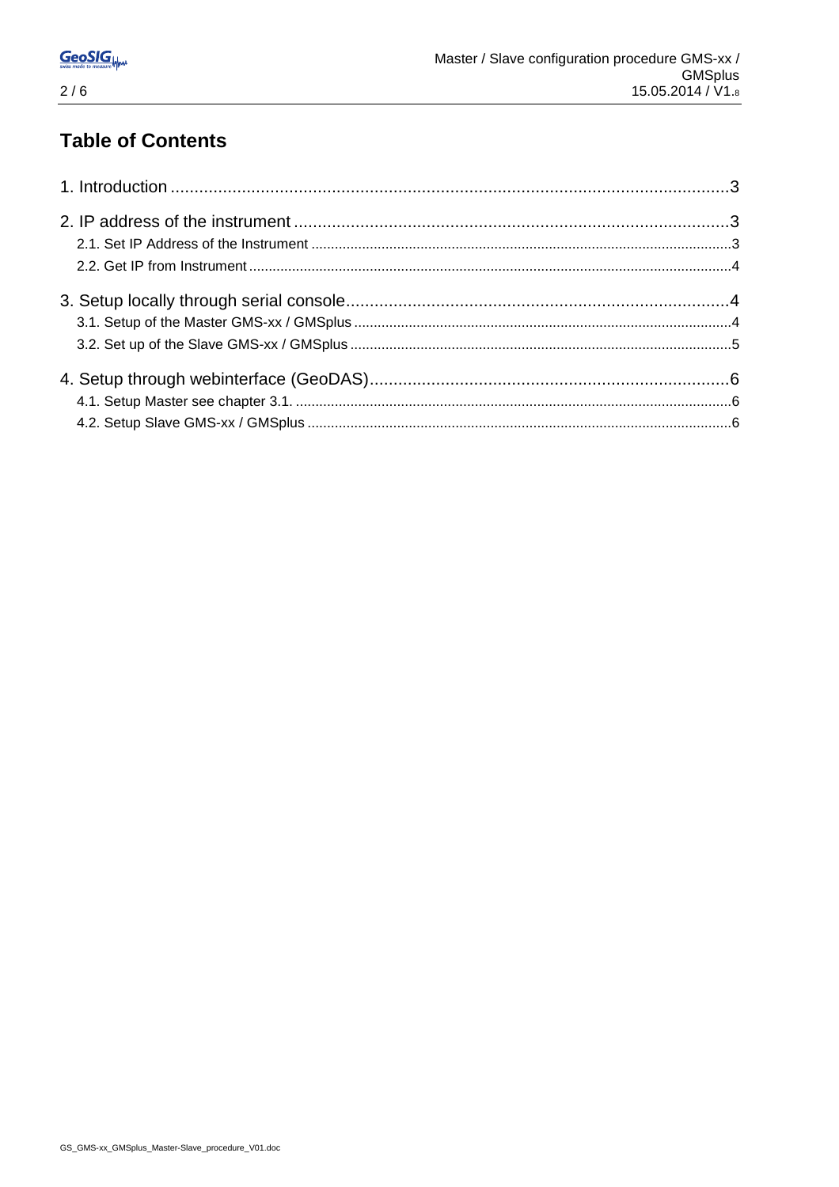# **Table of Contents**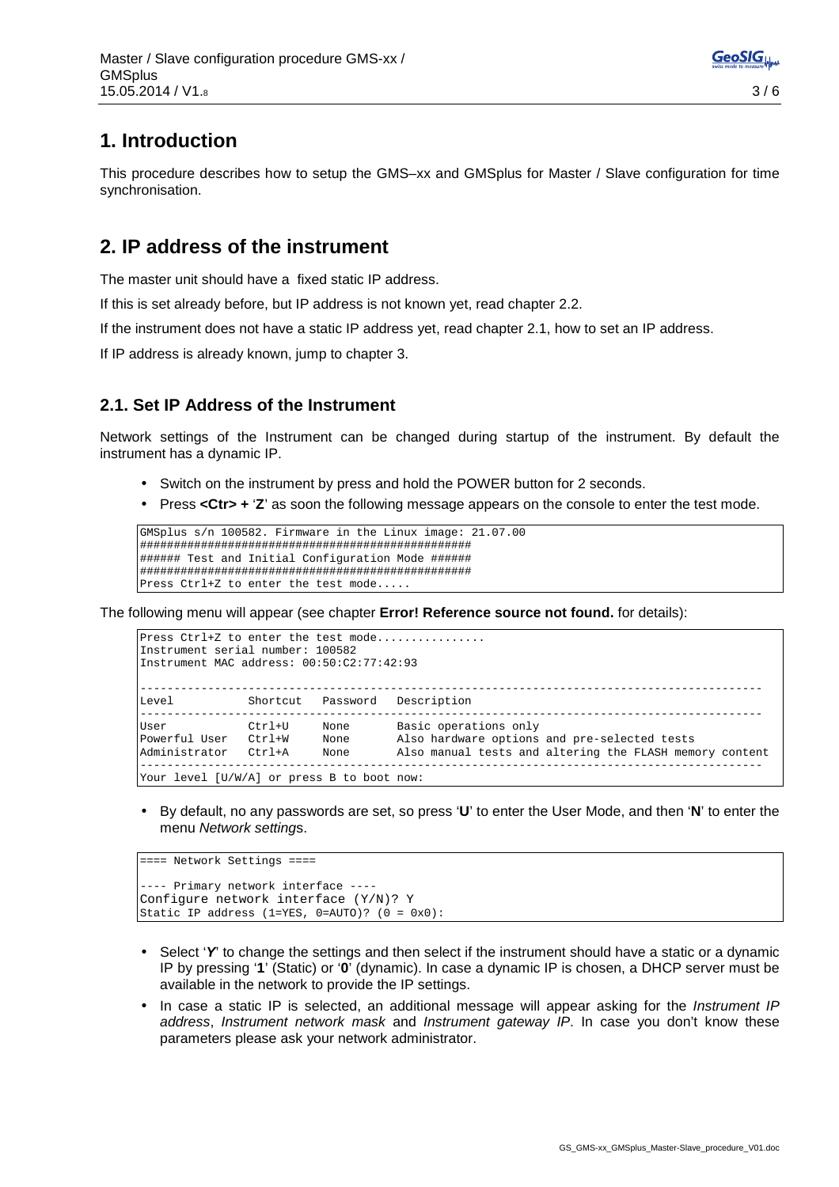## **1. Introduction**

This procedure describes how to setup the GMS–xx and GMSplus for Master / Slave configuration for time synchronisation.

## **2. IP address of the instrument**

The master unit should have a fixed static IP address.

If this is set already before, but IP address is not known yet, read chapter 2.2.

If the instrument does not have a static IP address yet, read chapter 2.1, how to set an IP address.

If IP address is already known, jump to chapter 3.

#### **2.1. Set IP Address of the Instrument**

Network settings of the Instrument can be changed during startup of the instrument. By default the instrument has a dynamic IP.

- Switch on the instrument by press and hold the POWER button for 2 seconds.
- Press **<Ctr> +** '**Z**' as soon the following message appears on the console to enter the test mode.

```
GMSplus s/n 100582. Firmware in the Linux image: 21.07.00 
################################################# 
###### Test and Initial Configuration Mode ###### 
################################################# 
Press Ctrl+Z to enter the test mode....
```
The following menu will appear (see chapter **Error! Reference source not found.** for details):

```
Press Ctrl+Z to enter the test mode...............
Instrument serial number: 100582 
Instrument MAC address: 00:50:C2:77:42:93 
-------------------------------------------------------------------------------------------- 
Level Shortcut Password Description 
-------------------------------------------------------------------------------------------- 
User Ctrl+U None Basic operations only 
Powerful User Ctrl+W None Also hardware options and pre-selected tests 
Administrator Ctrl+A None Also manual tests and altering the FLASH memory content 
-------------------------------------------------------------------------------------------- 
Your level [U/W/A] or press B to boot now:
```
• By default, no any passwords are set, so press '**U**' to enter the User Mode, and then '**N**' to enter the menu Network settings.

```
==== Network Settings ==== 
  -- Primary network interface -
Configure network interface (Y/N)? Y
Static IP address (1=YES, 0=AUT0)? (0 = 0x0):
```
- Select 'Y' to change the settings and then select if the instrument should have a static or a dynamic IP by pressing '**1**' (Static) or '**0**' (dynamic). In case a dynamic IP is chosen, a DHCP server must be available in the network to provide the IP settings.
- In case a static IP is selected, an additional message will appear asking for the *Instrument IP* address, Instrument network mask and Instrument gateway IP. In case you don't know these parameters please ask your network administrator.

**GeoSIGL**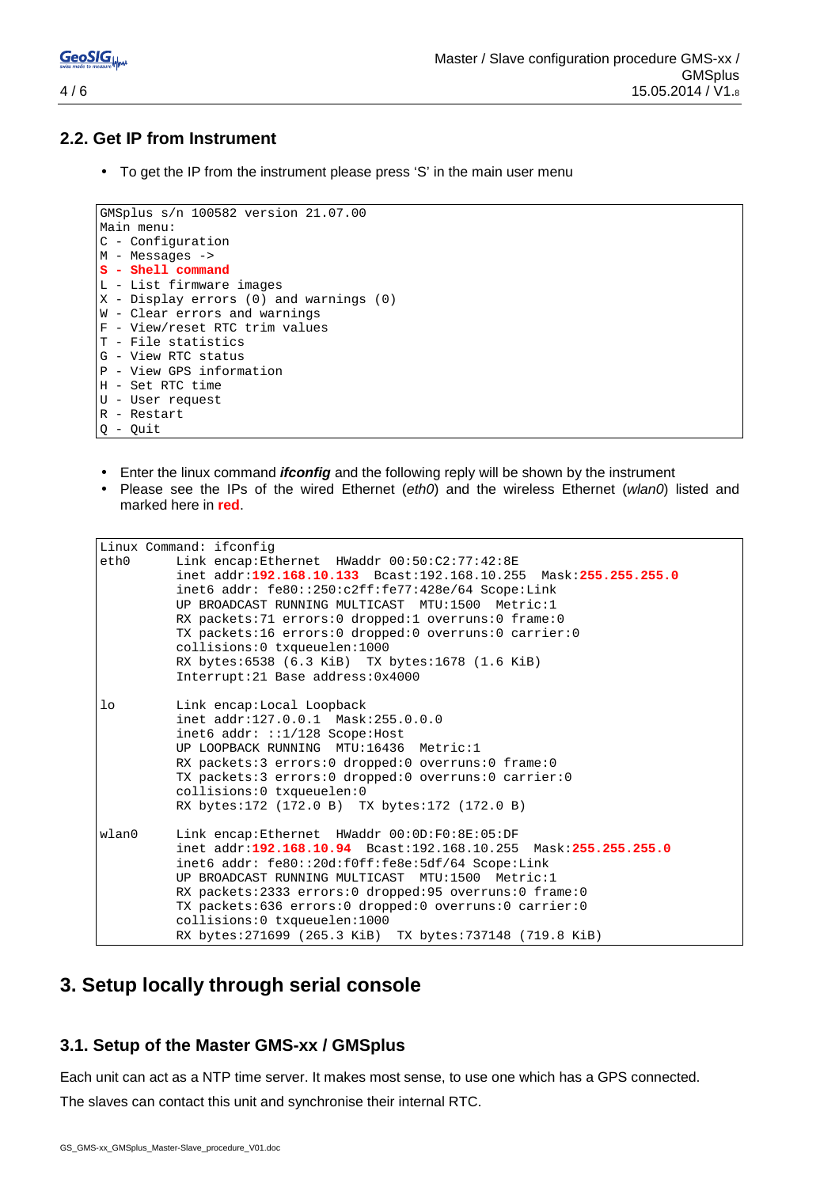#### **2.2. Get IP from Instrument**

• To get the IP from the instrument please press 'S' in the main user menu

```
GMSplus s/n 100582 version 21.07.00 
Main menu: 
C - Configuration 
M - Messages -> 
S - Shell command 
L - List firmware images 
X - Display errors (0) and warnings (0) 
W - Clear errors and warnings 
F - View/reset RTC trim values 
T - File statistics 
G - View RTC status 
P - View GPS information 
H - Set RTC time 
U - User request 
R - Restart 
Q - Quit
```
- Enter the linux command **ifconfig** and the following reply will be shown by the instrument
- Please see the IPs of the wired Ethernet (eth0) and the wireless Ethernet (wlan0) listed and marked here in **red**.

```
Linux Command: ifconfig 
eth0 Link encap:Ethernet HWaddr 00:50:C2:77:42:8E 
           inet addr:192.168.10.133 Bcast:192.168.10.255 Mask:255.255.255.0
           inet6 addr: fe80::250:c2ff:fe77:428e/64 Scope:Link 
           UP BROADCAST RUNNING MULTICAST MTU:1500 Metric:1 
           RX packets:71 errors:0 dropped:1 overruns:0 frame:0 
           TX packets:16 errors:0 dropped:0 overruns:0 carrier:0 
           collisions:0 txqueuelen:1000 
           RX bytes:6538 (6.3 KiB) TX bytes:1678 (1.6 KiB) 
           Interrupt:21 Base address:0x4000 
lo Link encap:Local Loopback 
           inet addr:127.0.0.1 Mask:255.0.0.0 
           inet6 addr: ::1/128 Scope:Host 
           UP LOOPBACK RUNNING MTU:16436 Metric:1 
           RX packets:3 errors:0 dropped:0 overruns:0 frame:0 
           TX packets:3 errors:0 dropped:0 overruns:0 carrier:0 
           collisions:0 txqueuelen:0 
           RX bytes:172 (172.0 B) TX bytes:172 (172.0 B) 
wlan0 Link encap:Ethernet HWaddr 00:0D:F0:8E:05:DF 
           inet addr:192.168.10.94 Bcast:192.168.10.255 Mask:255.255.255.0
           inet6 addr: fe80::20d:f0ff:fe8e:5df/64 Scope:Link 
           UP BROADCAST RUNNING MULTICAST MTU:1500 Metric:1 
           RX packets:2333 errors:0 dropped:95 overruns:0 frame:0 
           TX packets:636 errors:0 dropped:0 overruns:0 carrier:0 
           collisions:0 txqueuelen:1000 
           RX bytes:271699 (265.3 KiB) TX bytes:737148 (719.8 KiB)
```
## **3. Setup locally through serial console**

#### **3.1. Setup of the Master GMS-xx / GMSplus**

Each unit can act as a NTP time server. It makes most sense, to use one which has a GPS connected.

The slaves can contact this unit and synchronise their internal RTC.

**GeoSIGL**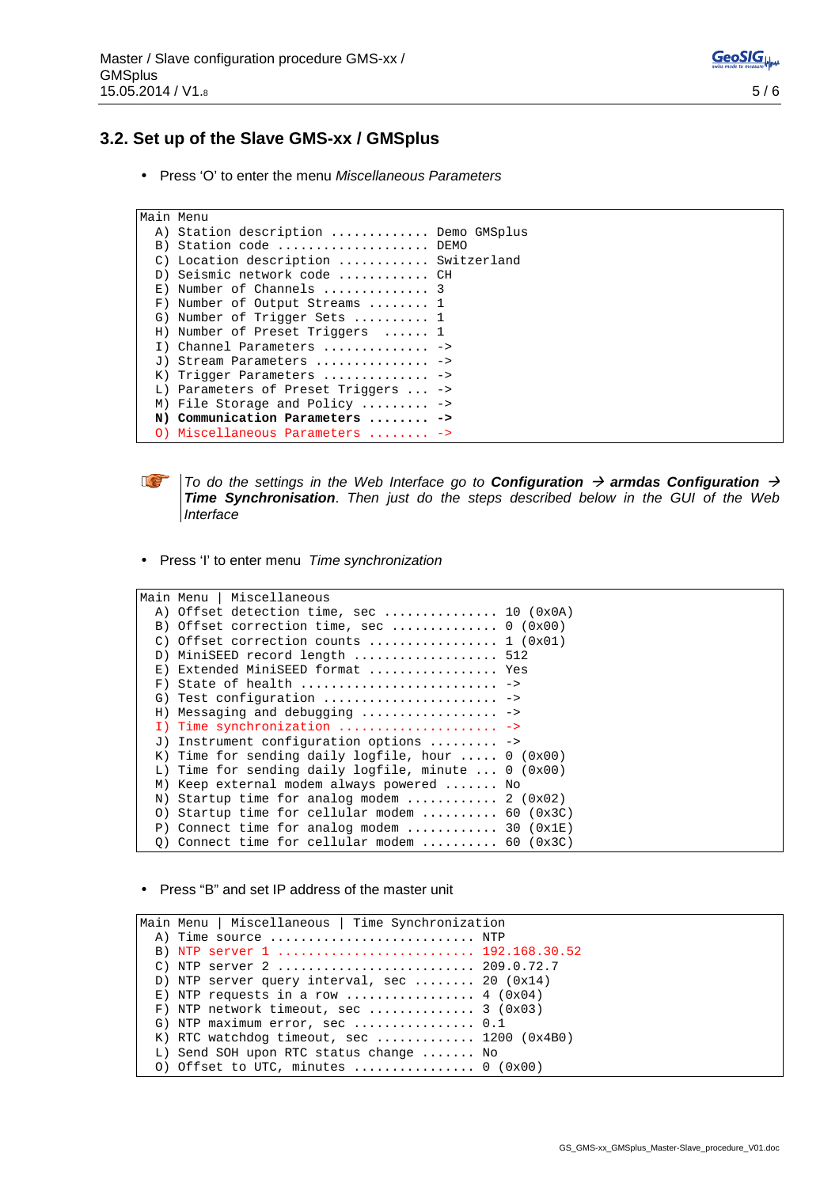## **3.2. Set up of the Slave GMS-xx / GMSplus**

• Press 'O' to enter the menu Miscellaneous Parameters

```
Main Menu 
 A) Station description .............. Demo GMSplus
 B) Station code ..................... DEMO
  C) Location description ............ Switzerland 
  D) Seismic network code ............ CH 
  E) Number of Channels .............. 3 
  F) Number of Output Streams ........ 1 
  G) Number of Trigger Sets .......... 1 
  H) Number of Preset Triggers ...... 1 
  I) Channel Parameters .............. -> 
 J) Stream Parameters ............... ->
 K) Trigger Parameters .............. ->
  L) Parameters of Preset Triggers ... -> 
  M) File Storage and Policy ......... -> 
  N) Communication Parameters ........ -> 
  O) Miscellaneous Parameters ........ ->
```


To do the settings in the Web Interface go to **Configuration**  $\rightarrow$  **armdas Configuration**  $\rightarrow$ **Time Synchronisation**. Then just do the steps described below in the GUI of the Web **Interface** 

• Press 'I' to enter menu Time synchronization

|                 | Main Menu   Miscellaneous                                         |  |
|-----------------|-------------------------------------------------------------------|--|
|                 | A) Offset detection time, sec  10 $(0x0A)$                        |  |
|                 | B) Offset correction time, sec  0 (0x00)                          |  |
| $\mathcal{C}$ ) | Offset correction counts $1 (0x01)$                               |  |
| D)              | MiniSEED record length  512                                       |  |
|                 | E) Extended MiniSEED format  Yes                                  |  |
|                 |                                                                   |  |
|                 | G) Test configuration  ->                                         |  |
|                 | H) Messaging and debugging $\ldots \ldots \ldots \ldots \ldots$   |  |
|                 | I) Time synchronization  ->                                       |  |
|                 | J) Instrument configuration options $\ldots \ldots \ldots$        |  |
|                 | K) Time for sending daily logfile, hour $0 (0x00)$                |  |
|                 | L) Time for sending daily logfile, minute $0$ (0x00)              |  |
|                 | M) Keep external modem always powered  No                         |  |
|                 | N) Startup time for analog modem $\ldots \ldots \ldots$ 2 (0x02)  |  |
| $\circ$ )       | Startup time for cellular modem  60 $(0x3C)$                      |  |
|                 | P) Connect time for analog modem $\ldots \ldots \ldots$ 30 (0x1E) |  |
|                 | 0) Connect time for cellular modem  60 $(0x3C)$                   |  |

• Press "B" and set IP address of the master unit

Main Menu | Miscellaneous | Time Synchronization A) Time source ............................ NTP B) NTP server 1 .......................... 192.168.30.52 C) NTP server 2 .......................... 209.0.72.7 D) NTP server query interval, sec ........ 20 (0x14) E) NTP requests in a row  $\dots\dots\dots\dots$ . 4 (0x04) F) NTP network timeout, sec .............. 3 (0x03) G) NTP maximum error, sec ................. 0.1 K) RTC watchdog timeout, sec ............. 1200 (0x4B0) L) Send SOH upon RTC status change ....... No O) Offset to UTC, minutes  $\dots\dots\dots\dots\dots\dots$  (0x00)